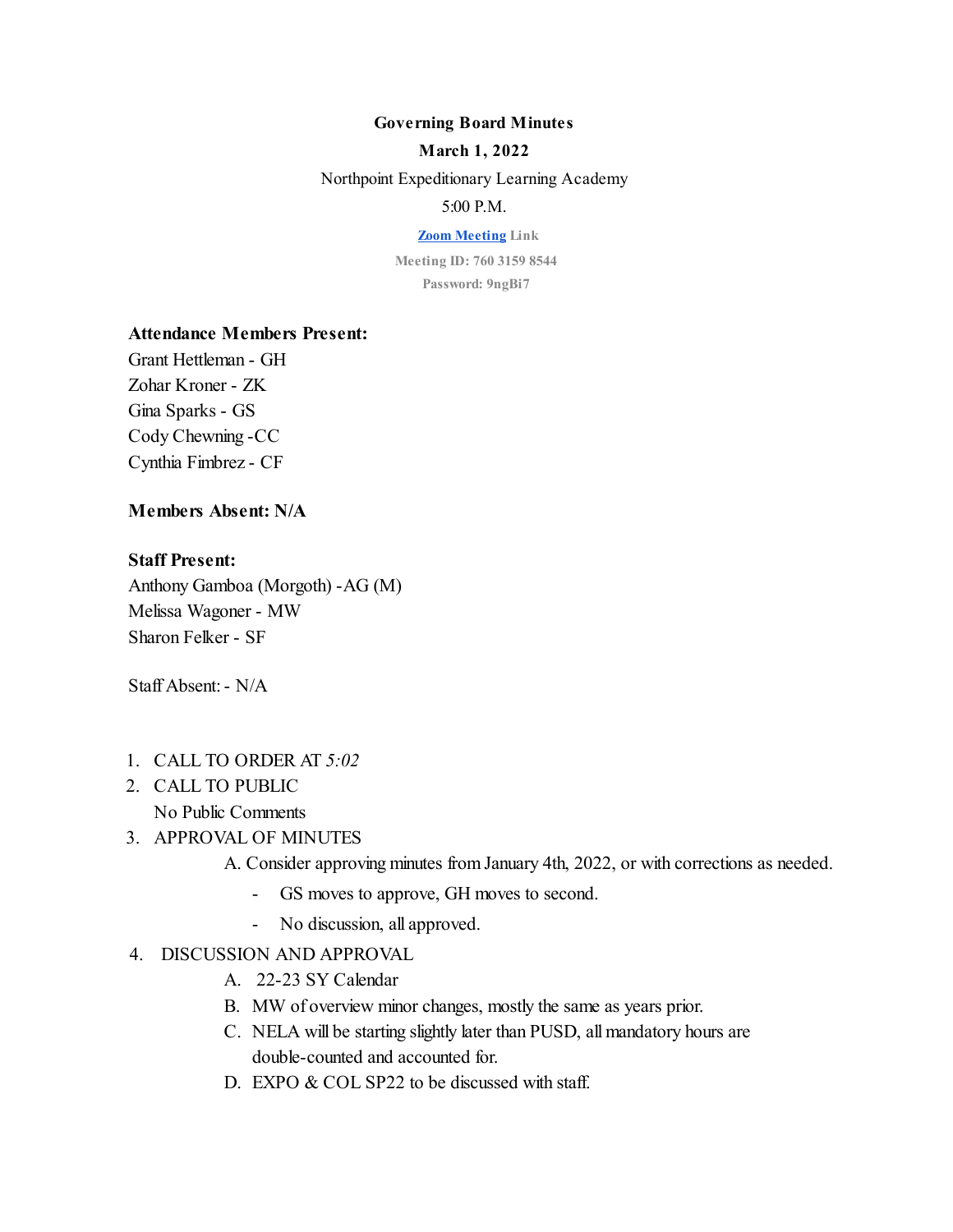#### **Governing Board Minutes**

#### **March 1, 2022**

Northpoint Expeditionary Learning Academy

## 5:00 P.M.

**[Zoom Meeting](https://us04web.zoom.us/j/76031598544?pwd=L041eFJ0b3hNYmpFcnhYMHVJWkd0dz09) Link**

**Meeting ID: 760 3159 8544 Password: 9ngBi7**

## **Attendance Members Present:**

Grant Hettleman - GH Zohar Kroner - ZK Gina Sparks - GS Cody Chewning -CC Cynthia Fimbrez - CF

## **Members Absent: N/A**

#### **Staff Present:**

Anthony Gamboa (Morgoth) -AG (M) Melissa Wagoner - MW Sharon Felker - SF

Staff Absent: - N/A

- 1. CALL TO ORDER AT *5:02*
- 2. CALL TO PUBLIC No Public Comments

### 3. APPROVAL OF MINUTES

A. Consider approving minutes from January 4th, 2022, or with corrections as needed.

- GS moves to approve, GH moves to second.
- No discussion, all approved.

# 4. DISCUSSION AND APPROVAL

- A. 22-23 SY Calendar
- B. MW of overview minor changes, mostly the same as years prior.
- C. NELA will be starting slightly later than PUSD, all mandatory hours are double-counted and accounted for.
- D. EXPO & COL SP22 to be discussed with staff.